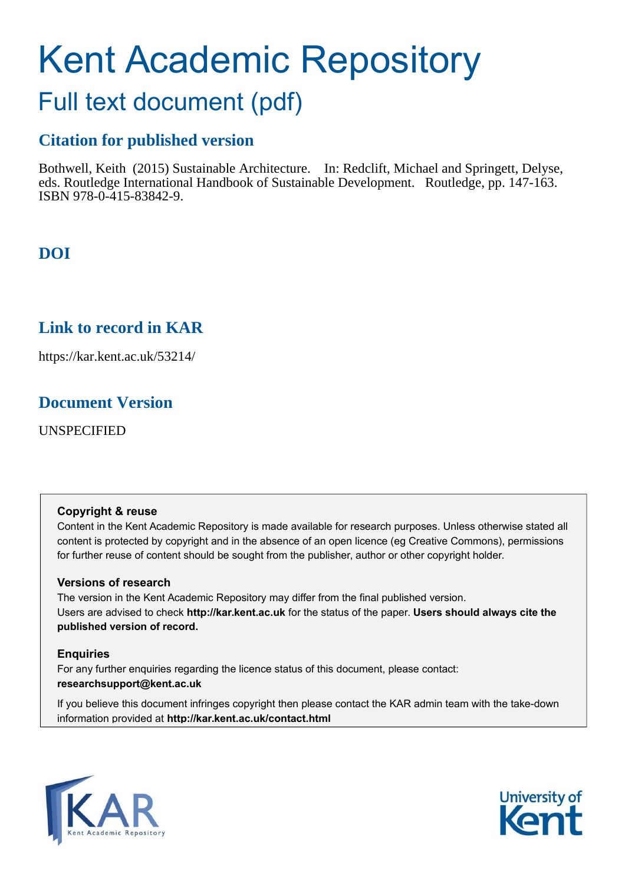# Kent Academic Repository

# Full text document (pdf)

## **Citation for published version**

Bothwell, Keith (2015) Sustainable Architecture. In: Redclift, Michael and Springett, Delyse, eds. Routledge International Handbook of Sustainable Development. Routledge, pp. 147-163. ISBN 978-0-415-83842-9.

## **DOI**

## **Link to record in KAR**

https://kar.kent.ac.uk/53214/

## **Document Version**

UNSPECIFIED

#### **Copyright & reuse**

Content in the Kent Academic Repository is made available for research purposes. Unless otherwise stated all content is protected by copyright and in the absence of an open licence (eg Creative Commons), permissions for further reuse of content should be sought from the publisher, author or other copyright holder.

#### **Versions of research**

The version in the Kent Academic Repository may differ from the final published version. Users are advised to check **http://kar.kent.ac.uk** for the status of the paper. **Users should always cite the published version of record.**

#### **Enquiries**

For any further enquiries regarding the licence status of this document, please contact: **researchsupport@kent.ac.uk**

If you believe this document infringes copyright then please contact the KAR admin team with the take-down information provided at **http://kar.kent.ac.uk/contact.html**



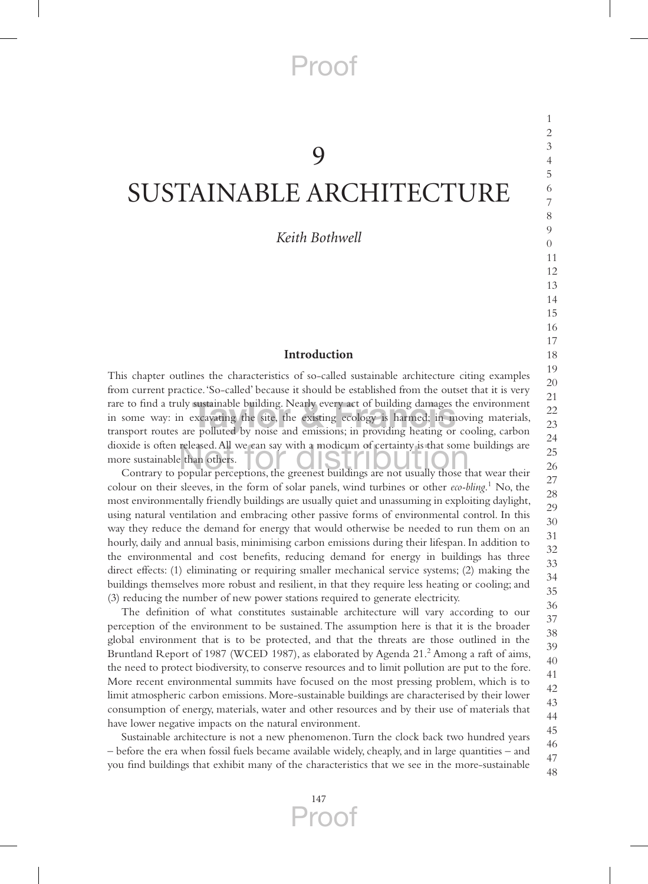# Proof

#### 9

## SUSTAINABLE ARCHITECTURE

*Keith Bothwell*

1  $\mathfrak{D}$ 3

12 13

> 14 15 16

#### **Introduction**

This chapter outlines the characteristics of so-called sustainable architecture citing examples from current practice. 'So-called' because it should be established from the outset that it is very rare to find a truly sustainable building. Nearly every act of building damages the environment in some way: in excavating the site, the existing ecology is harmed; in moving materials, transport routes are polluted by noise and emissions; in providing heating or cooling, carbon dioxide is often released. All we can say with a modicum of certainty is that some buildings are more sustainable than others. more sustainable than others. sustainable building. Nearly every act of building damages<br>excavating the site, the existing ecology is harmed; in m<br>e polluted by noise and emissions: in providing heating or

26 27 28 29 30 31 32 33 34 35 36 Contrary to popular perceptions, the greenest buildings are not usually those that wear their colour on their sleeves, in the form of solar panels, wind turbines or other *eco-bling*.<sup>1</sup> No, the most environmentally friendly buildings are usually quiet and unassuming in exploiting daylight, using natural ventilation and embracing other passive forms of environmental control. In this way they reduce the demand for energy that would otherwise be needed to run them on an hourly, daily and annual basis, minimising carbon emissions during their lifespan. In addition to the environmental and cost benefits, reducing demand for energy in buildings has three direct effects: (1) eliminating or requiring smaller mechanical service systems; (2) making the buildings themselves more robust and resilient, in that they require less heating or cooling; and (3) reducing the number of new power stations required to generate electricity.

37 38 39 40 41 42 43 44 45 The definition of what constitutes sustainable architecture will vary according to our perception of the environment to be sustained. The assumption here is that it is the broader global environment that is to be protected, and that the threats are those outlined in the Bruntland Report of 1987 (WCED 1987), as elaborated by Agenda 21.<sup>2</sup> Among a raft of aims, the need to protect biodiversity, to conserve resources and to limit pollution are put to the fore. More recent environmental summits have focused on the most pressing problem, which is to limit atmospheric carbon emissions. More-sustainable buildings are characterised by their lower consumption of energy, materials, water and other resources and by their use of materials that have lower negative impacts on the natural environment.

46 47 48 Sustainable architecture is not a new phenomenon. Turn the clock back two hundred years – before the era when fossil fuels became available widely, cheaply, and in large quantities – and you find buildings that exhibit many of the characteristics that we see in the more-sustainable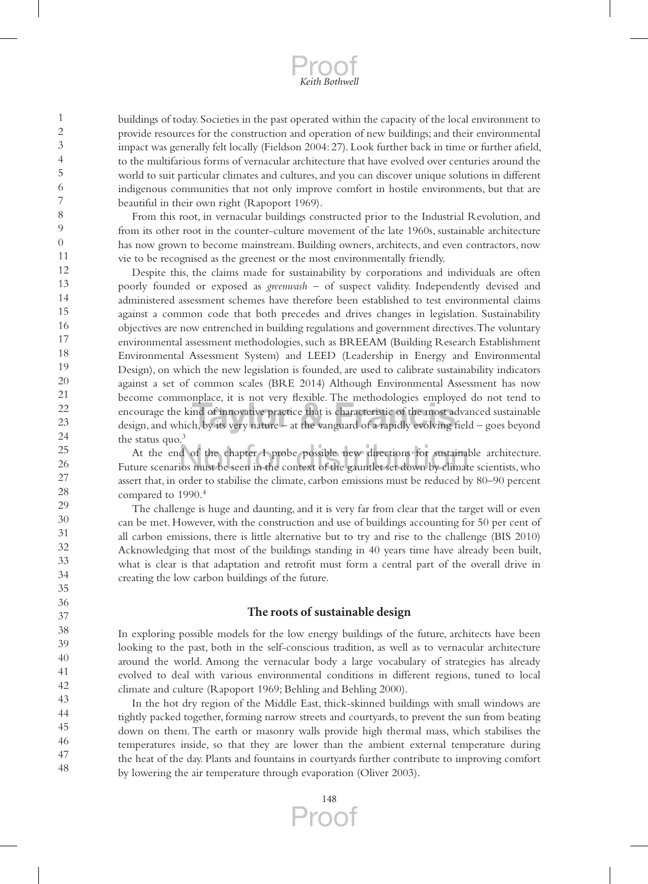buildings of today. Societies in the past operated within the capacity of the local environment to provide resources for the construction and operation of new buildings; and their environmental impact was generally felt locally (Fieldson 2004: 27). Look further back in time or further afield, to the multifarious forms of vernacular architecture that have evolved over centuries around the world to suit particular climates and cultures, and you can discover unique solutions in different indigenous communities that not only improve comfort in hostile environments, but that are beautiful in their own right (Rapoport 1969).

From this root, in vernacular buildings constructed prior to the Industrial Revolution, and from its other root in the counter-culture movement of the late 1960s, sustainable architecture has now grown to become mainstream. Building owners, architects, and even contractors, now vie to be recognised as the greenest or the most environmentally friendly.

Despite this, the claims made for sustainability by corporations and individuals are often poorly founded or exposed as *greenwash* – of suspect validity. Independently devised and administered assessment schemes have therefore been established to test environmental claims against a common code that both precedes and drives changes in legislation. Sustainability objectives are now entrenched in building regulations and government directives. The voluntary environmental assessment methodologies, such as BREEAM (Building Research Establishment Environmental Assessment System) and LEED (Leadership in Energy and Environmental Design), on which the new legislation is founded, are used to calibrate sustainability indicators against a set of common scales (BRE 2014) Although Environmental Assessment has now become commonplace, it is not very flexible. The methodologies employed do not tend to encourage the kind of innovative practice that is characteristic of the most advanced sustainable exercise common<br>provided in the value of the methodologies employed as the very decorate<br>design, and which, by its very nature – at the vanguard of a rapidly evolving field – goes beyond the status quo. $3$ 

At the end of the chapter I probe possible new directions for sustainable architecture. Future scenarios must be seen in the context of the gauntlet set down by climate scientists, who assert that, in order to stabilise the climate, carbon emissions must be reduced by 80–90 percent compared to 1990.<sup>4</sup> ).<br>d\of the chapter I probe possible new directions for sustaina<br>ios must be seen in the context of the gauntlet set down by climat

The challenge is huge and daunting, and it is very far from clear that the target will or even can be met. However, with the construction and use of buildings accounting for 50 per cent of all carbon emissions, there is little alternative but to try and rise to the challenge (BIS 2010) Acknowledging that most of the buildings standing in 40 years time have already been built, what is clear is that adaptation and retrofit must form a central part of the overall drive in creating the low carbon buildings of the future.

#### **The roots of sustainable design**

In exploring possible models for the low energy buildings of the future, architects have been looking to the past, both in the self-conscious tradition, as well as to vernacular architecture around the world. Among the vernacular body a large vocabulary of strategies has already evolved to deal with various environmental conditions in different regions, tuned to local climate and culture (Rapoport 1969; Behling and Behling 2000).

43 44 45 46 47 48 In the hot dry region of the Middle East, thick-skinned buildings with small windows are tightly packed together, forming narrow streets and courtyards, to prevent the sun from beating down on them. The earth or masonry walls provide high thermal mass, which stabilises the temperatures inside, so that they are lower than the ambient external temperature during the heat of the day. Plants and fountains in courtyards further contribute to improving comfort by lowering the air temperature through evaporation (Oliver 2003).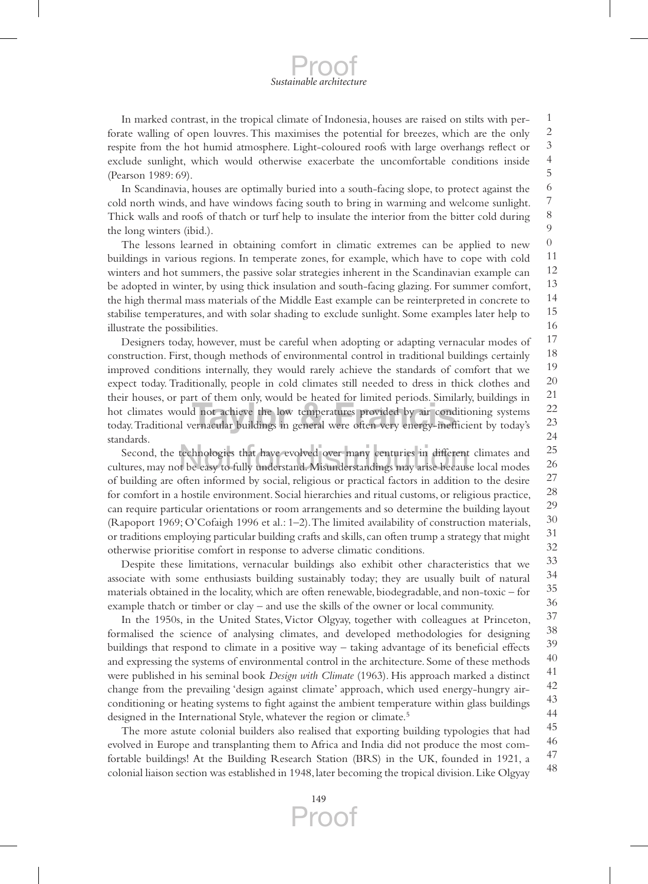In marked contrast, in the tropical climate of Indonesia, houses are raised on stilts with perforate walling of open louvres. This maximises the potential for breezes, which are the only respite from the hot humid atmosphere. Light-coloured roofs with large overhangs reflect or exclude sunlight, which would otherwise exacerbate the uncomfortable conditions inside (Pearson 1989: 69).

*Sustainable architecture*

Proof

In Scandinavia, houses are optimally buried into a south-facing slope, to protect against the cold north winds, and have windows facing south to bring in warming and welcome sunlight. Thick walls and roofs of thatch or turf help to insulate the interior from the bitter cold during the long winters (ibid.).

0 11 12 13 14 15 16 The lessons learned in obtaining comfort in climatic extremes can be applied to new buildings in various regions. In temperate zones, for example, which have to cope with cold winters and hot summers, the passive solar strategies inherent in the Scandinavian example can be adopted in winter, by using thick insulation and south-facing glazing. For summer comfort, the high thermal mass materials of the Middle East example can be reinterpreted in concrete to stabilise temperatures, and with solar shading to exclude sunlight. Some examples later help to illustrate the possibilities.

17 18 19 20 21 22 23 24 Designers today, however, must be careful when adopting or adapting vernacular modes of construction. First, though methods of environmental control in traditional buildings certainly improved conditions internally, they would rarely achieve the standards of comfort that we expect today. Traditionally, people in cold climates still needed to dress in thick clothes and their houses, or part of them only, would be heated for limited periods. Similarly, buildings in hot climates would not achieve the low temperatures provided by air conditioning systems today. Traditional vernacular buildings in general were often very energy-mefficient by today's today. Traditional vernacular buildings in general were often very energy-inefficient by today's standards.

25 26 27 28 29 30 31 32 Second, the technologies that have evolved over many centuries in different climates and cultures, may not be easy to fully understand. Misunderstandings may arise because local modes of building are often informed by social, religious or practical factors in addition to the desire for comfort in a hostile environment. Social hierarchies and ritual customs, or religious practice, can require particular orientations or room arrangements and so determine the building layout (Rapoport 1969; O'Cofaigh 1996 et al.: 1–2). The limited availability of construction materials, or traditions employing particular building crafts and skills, can often trump a strategy that might otherwise prioritise comfort in response to adverse climatic conditions. technologies that have evolved over many centuries in different<br>It be easy to fully understand Misunderstandings may arise becaus

33 34 35 36 Despite these limitations, vernacular buildings also exhibit other characteristics that we associate with some enthusiasts building sustainably today; they are usually built of natural materials obtained in the locality, which are often renewable, biodegradable, and non-toxic – for example thatch or timber or clay – and use the skills of the owner or local community.

37 38 39 40 41 42 43 44 In the 1950s, in the United States, Victor Olgyay, together with colleagues at Princeton, formalised the science of analysing climates, and developed methodologies for designing buildings that respond to climate in a positive way – taking advantage of its beneficial effects and expressing the systems of environmental control in the architecture. Some of these methods were published in his seminal book *Design with Climate* (1963). His approach marked a distinct change from the prevailing 'design against climate' approach, which used energy-hungry airconditioning or heating systems to fight against the ambient temperature within glass buildings designed in the International Style, whatever the region or climate.<sup>5</sup>

45 46 47 48 The more astute colonial builders also realised that exporting building typologies that had evolved in Europe and transplanting them to Africa and India did not produce the most comfortable buildings! At the Building Research Station (BRS) in the UK, founded in 1921, a colonial liaison section was established in 1948, later becoming the tropical division. Like Olgyay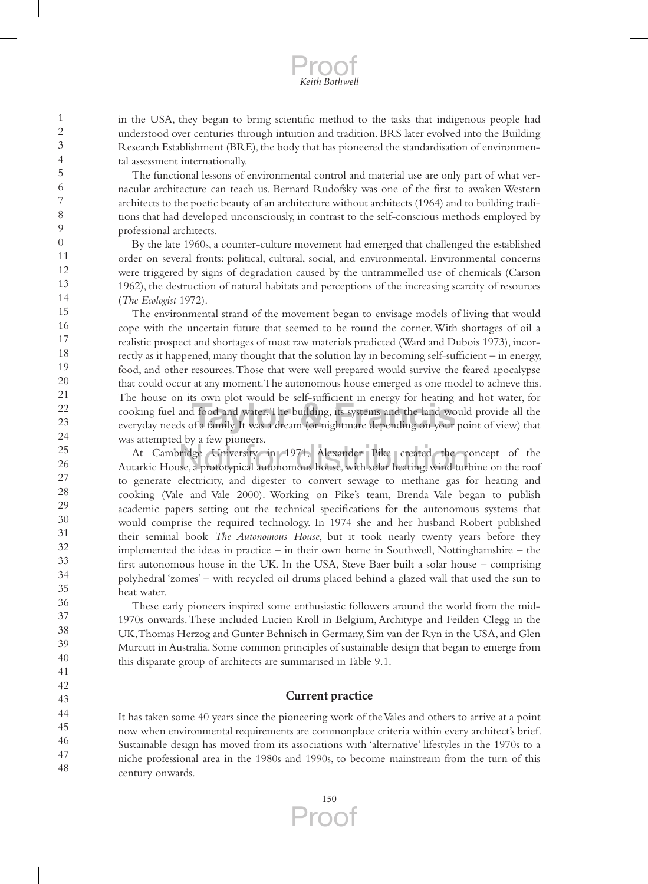in the USA, they began to bring scientific method to the tasks that indigenous people had understood over centuries through intuition and tradition. BRS later evolved into the Building Research Establishment (BRE), the body that has pioneered the standardisation of environmental assessment internationally.

The functional lessons of environmental control and material use are only part of what vernacular architecture can teach us. Bernard Rudofsky was one of the first to awaken Western architects to the poetic beauty of an architecture without architects (1964) and to building traditions that had developed unconsciously, in contrast to the self-conscious methods employed by professional architects.

By the late 1960s, a counter-culture movement had emerged that challenged the established order on several fronts: political, cultural, social, and environmental. Environmental concerns were triggered by signs of degradation caused by the untrammelled use of chemicals (Carson 1962), the destruction of natural habitats and perceptions of the increasing scarcity of resources (*The Ecologist* 1972).

The environmental strand of the movement began to envisage models of living that would cope with the uncertain future that seemed to be round the corner. With shortages of oil a realistic prospect and shortages of most raw materials predicted (Ward and Dubois 1973), incorrectly as it happened, many thought that the solution lay in becoming self-sufficient – in energy, food, and other resources. Those that were well prepared would survive the feared apocalypse that could occur at any moment. The autonomous house emerged as one model to achieve this. The house on its own plot would be self-sufficient in energy for heating and hot water, for cooking fuel and food and water. The building, its systems and the land would provide all the Fire nease on the only provided to conclude the dimension in oneigy for nealing and how mater, the cooking fuel and food and water. The building, its systems and the land would provide all the everyday needs of a family. I was attempted by a few pioneers.

At Cambridge University in 1971, Alexander Pike created the concept of the Autarkic House, a prototypical autonomous house, with solar heating, wind turbine on the roof to generate electricity, and digester to convert sewage to methane gas for heating and cooking (Vale and Vale 2000). Working on Pike's team, Brenda Vale began to publish academic papers setting out the technical specifications for the autonomous systems that would comprise the required technology. In 1974 she and her husband Robert published their seminal book *The Autonomous House*, but it took nearly twenty years before they implemented the ideas in practice – in their own home in Southwell, Nottinghamshire – the first autonomous house in the UK. In the USA, Steve Baer built a solar house – comprising polyhedral 'zomes' – with recycled oil drums placed behind a glazed wall that used the sun to heat water. l by a few pioneers.<br>ridge /University -in / 1971, Alexander Pike created the c<br>ise a prototypical autonomous house with solar heating wind tur

These early pioneers inspired some enthusiastic followers around the world from the mid-1970s onwards. These included Lucien Kroll in Belgium, Architype and Feilden Clegg in the UK, Thomas Herzog and Gunter Behnisch in Germany, Sim van der Ryn in the USA, and Glen Murcutt in Australia. Some common principles of sustainable design that began to emerge from this disparate group of architects are summarised in Table 9.1.

#### 41 42

43

44 45 46 47 48 It has taken some 40 years since the pioneering work of the Vales and others to arrive at a point now when environmental requirements are commonplace criteria within every architect's brief. Sustainable design has moved from its associations with 'alternative' lifestyles in the 1970s to a niche professional area in the 1980s and 1990s, to become mainstream from the turn of this century onwards.

**Current practice**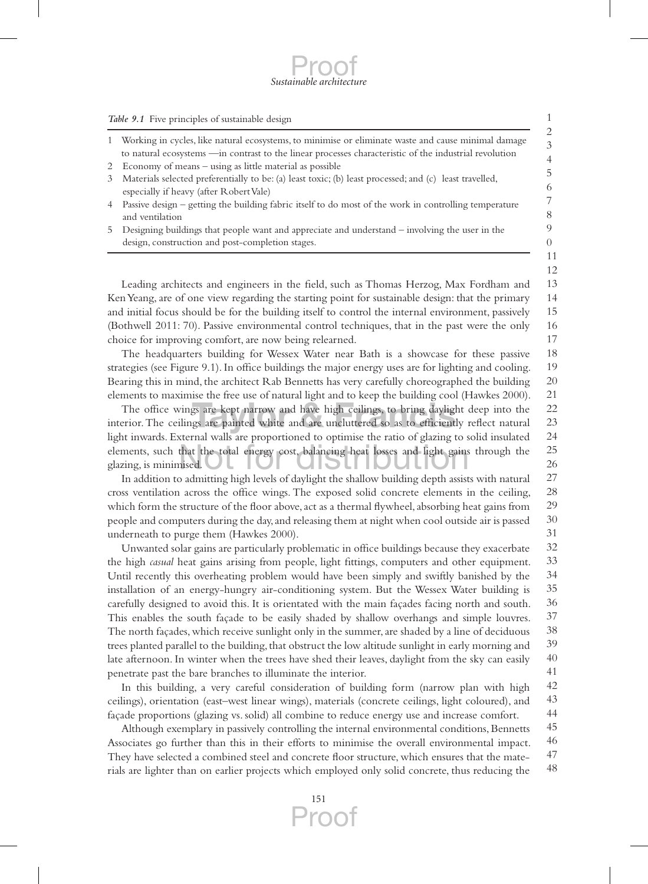*Table 9.1* Five principles of sustainable design

- 1 Working in cycles, like natural ecosystems, to minimise or eliminate waste and cause minimal damage to natural ecosystems ––in contrast to the linear processes characteristic of the industrial revolution
- 2 Economy of means using as little material as possible
- 3 Materials selected preferentially to be: (a) least toxic; (b) least processed; and (c) least travelled, especially if heavy (after Robert Vale)
- 4 Passive design getting the building fabric itself to do most of the work in controlling temperature and ventilation
- 5 Designing buildings that people want and appreciate and understand involving the user in the design, construction and post-completion stages.

13 14 15 16 17 Leading architects and engineers in the field, such as Thomas Herzog, Max Fordham and Ken Yeang, are of one view regarding the starting point for sustainable design: that the primary and initial focus should be for the building itself to control the internal environment, passively (Bothwell 2011: 70). Passive environmental control techniques, that in the past were the only choice for improving comfort, are now being relearned.

18 19 20 21 The headquarters building for Wessex Water near Bath is a showcase for these passive strategies (see Figure 9.1). In office buildings the major energy uses are for lighting and cooling. Bearing this in mind, the architect Rab Bennetts has very carefully choreographed the building elements to maximise the free use of natural light and to keep the building cool (Hawkes 2000).

22 23 24 25  $26$ The office wings are kept narrow and have high ceilings, to bring daylight deep into the The office wings are kept narrow and have high ceilings, to bring daylight deep into the interior. The ceilings are painted white and are uncluttered so as to efficiently reflect natural light inwards. External walls are proportioned to optimise the ratio of glazing to solid insulated elements, such that the total energy cost, balancing heat losses and light gains through the glazing, is minimised. xternal walls are proportioned to optimise the ratio of glazing to s<br>that the total energy cost, balancing heat losses and light gains<br>nised.

27 28 29 30 31 In addition to admitting high levels of daylight the shallow building depth assists with natural cross ventilation across the office wings. The exposed solid concrete elements in the ceiling, which form the structure of the floor above, act as a thermal flywheel, absorbing heat gains from people and computers during the day, and releasing them at night when cool outside air is passed underneath to purge them (Hawkes 2000).

32 33 34 35 36 37 38 39 40 41 Unwanted solar gains are particularly problematic in office buildings because they exacerbate the high *casual* heat gains arising from people, light fittings, computers and other equipment. Until recently this overheating problem would have been simply and swiftly banished by the installation of an energy-hungry air-conditioning system. But the Wessex Water building is carefully designed to avoid this. It is orientated with the main façades facing north and south. This enables the south façade to be easily shaded by shallow overhangs and simple louvres. The north façades, which receive sunlight only in the summer, are shaded by a line of deciduous trees planted parallel to the building, that obstruct the low altitude sunlight in early morning and late afternoon. In winter when the trees have shed their leaves, daylight from the sky can easily penetrate past the bare branches to illuminate the interior.

42 43 44 In this building, a very careful consideration of building form (narrow plan with high ceilings), orientation (east–west linear wings), materials (concrete ceilings, light coloured), and façade proportions (glazing vs. solid) all combine to reduce energy use and increase comfort.

45 46 47 48 Although exemplary in passively controlling the internal environmental conditions, Bennetts Associates go further than this in their efforts to minimise the overall environmental impact. They have selected a combined steel and concrete floor structure, which ensures that the materials are lighter than on earlier projects which employed only solid concrete, thus reducing the

> 151 Proof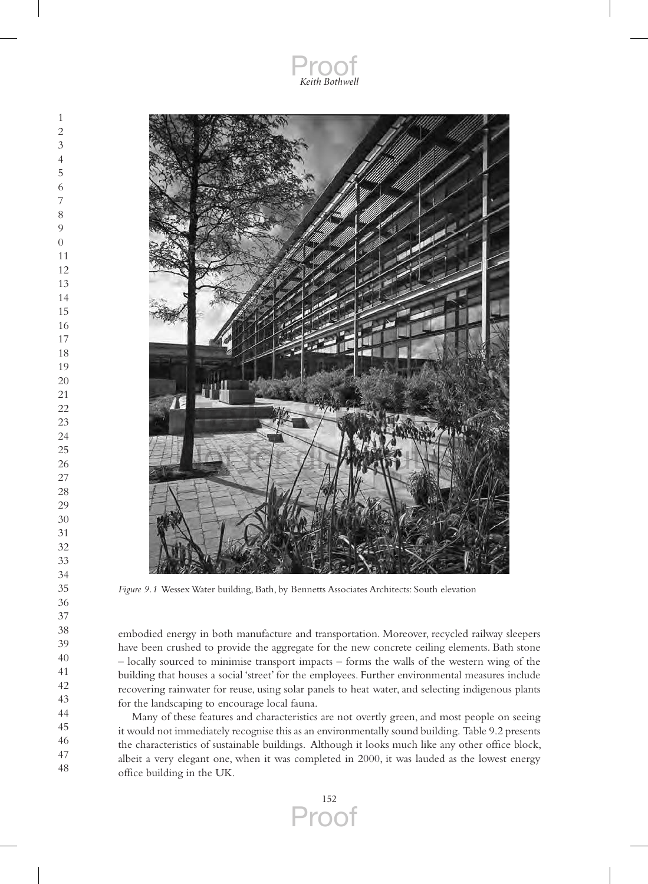

*Figure 9.1* Wessex Water building, Bath, by Bennetts Associates Architects: South elevation

embodied energy in both manufacture and transportation. Moreover, recycled railway sleepers have been crushed to provide the aggregate for the new concrete ceiling elements. Bath stone – locally sourced to minimise transport impacts – forms the walls of the western wing of the building that houses a social 'street' for the employees. Further environmental measures include recovering rainwater for reuse, using solar panels to heat water, and selecting indigenous plants for the landscaping to encourage local fauna.

Many of these features and characteristics are not overtly green, and most people on seeing it would not immediately recognise this as an environmentally sound building. Table 9.2 presents the characteristics of sustainable buildings. Although it looks much like any other office block, albeit a very elegant one, when it was completed in 2000, it was lauded as the lowest energy office building in the UK.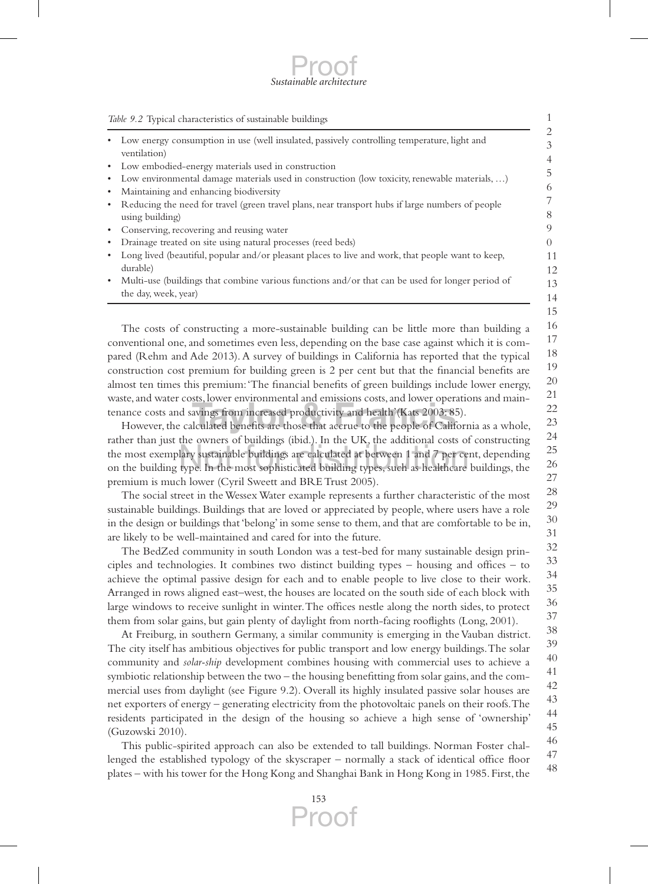#### 1 2 3 4 5 6 7 8  $\overline{Q}$ 0 11 12 13 14 15 *Table 9.2* Typical characteristics of sustainable buildings Low energy consumption in use (well insulated, passively controlling temperature, light and ventilation) Low embodied-energy materials used in construction Low environmental damage materials used in construction (low toxicity, renewable materials, ...) Maintaining and enhancing biodiversity Reducing the need for travel (green travel plans, near transport hubs if large numbers of people using building) Conserving, recovering and reusing water Drainage treated on site using natural processes (reed beds) Long lived (beautiful, popular and/or pleasant places to live and work, that people want to keep, durable) Multi-use (buildings that combine various functions and/or that can be used for longer period of the day, week, year)

16 17 18 19 20 21 22 23 The costs of constructing a more-sustainable building can be little more than building a conventional one, and sometimes even less, depending on the base case against which it is compared (Rehm and Ade 2013). A survey of buildings in California has reported that the typical construction cost premium for building green is 2 per cent but that the financial benefits are almost ten times this premium: 'The financial benefits of green buildings include lower energy, waste, and water costs, lower environmental and emissions costs, and lower operations and maintenance costs and savings from increased productivity and health'(Kats 2003: 85).<br>However, the calculated benefits are those that accrue to the people of Califor

24 25 26 27 However, the calculated benefits are those that accrue to the people of California as a whole, rather than just the owners of buildings (ibid.). In the UK, the additional costs of constructing the most exemplary sustainable buildings are calculated at between 1 and 7 per cent, depending on the building type. In the most sophisticated building types, such as healthcare buildings, the premium is much lower (Cyril Sweett and BRE Trust 2005). the owners of buildings (ibid.). In the UK, the additional costs of<br>lary sustainable buildings are calculated at between 1 and 7 per ce<br>type. In the most sophisticated building types, such as healthcare

28 29 30 31 The social street in the Wessex Water example represents a further characteristic of the most sustainable buildings. Buildings that are loved or appreciated by people, where users have a role in the design or buildings that 'belong' in some sense to them, and that are comfortable to be in, are likely to be well-maintained and cared for into the future.

32 33 34 35 36 37 The BedZed community in south London was a test-bed for many sustainable design principles and technologies. It combines two distinct building types – housing and offices – to achieve the optimal passive design for each and to enable people to live close to their work. Arranged in rows aligned east–west, the houses are located on the south side of each block with large windows to receive sunlight in winter. The offices nestle along the north sides, to protect them from solar gains, but gain plenty of daylight from north-facing rooflights (Long, 2001).

38 39 40 41 42 43 44 45 At Freiburg, in southern Germany, a similar community is emerging in the Vauban district. The city itself has ambitious objectives for public transport and low energy buildings. The solar community and *solar-ship* development combines housing with commercial uses to achieve a symbiotic relationship between the two – the housing benefitting from solar gains, and the commercial uses from daylight (see Figure 9.2). Overall its highly insulated passive solar houses are net exporters of energy – generating electricity from the photovoltaic panels on their roofs. The residents participated in the design of the housing so achieve a high sense of 'ownership' (Guzowski 2010).

46 47 48 This public-spirited approach can also be extended to tall buildings. Norman Foster challenged the established typology of the skyscraper – normally a stack of identical office floor plates – with his tower for the Hong Kong and Shanghai Bank in Hong Kong in 1985. First, the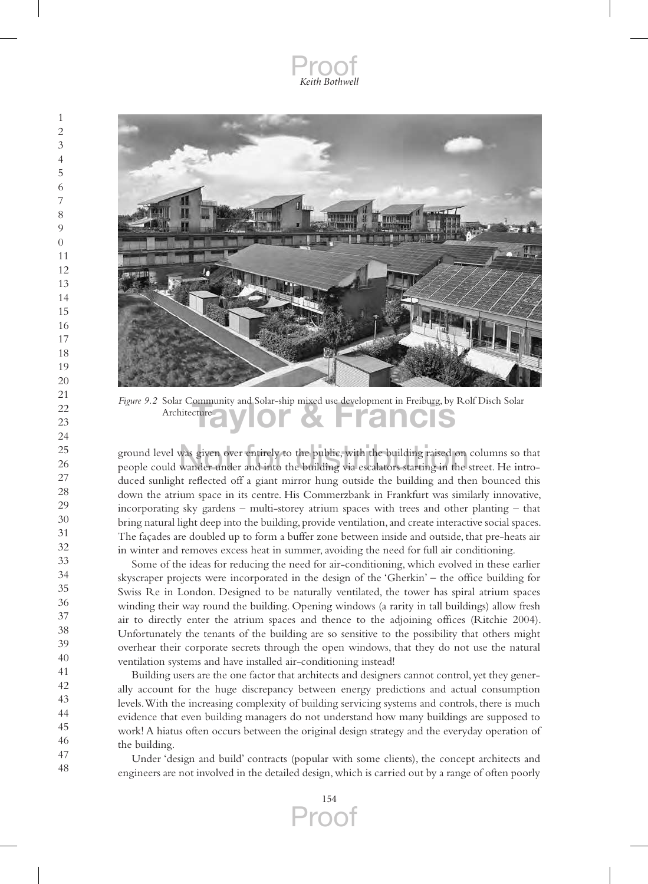*Keith Bothwell* Proof



*Figure 9.2* Solar Community and Solar-ship mixed use development in Freiburg, by Rolf Disch Solar Architecture Architecture

ground level was given over entirely to the public, with the building raised on columns so that people could wander under and into the building via escalators starting in the street. He introduced sunlight reflected off a giant mirror hung outside the building and then bounced this down the atrium space in its centre. His Commerzbank in Frankfurt was similarly innovative, incorporating sky gardens – multi-storey atrium spaces with trees and other planting – that bring natural light deep into the building, provide ventilation, and create interactive social spaces. The façades are doubled up to form a buffer zone between inside and outside, that pre-heats air in winter and removes excess heat in summer, avoiding the need for full air conditioning. was given over entirely to the public, with the building raised on<br>wander under and into the building via escalators starting in the

Some of the ideas for reducing the need for air-conditioning, which evolved in these earlier skyscraper projects were incorporated in the design of the 'Gherkin' – the office building for Swiss Re in London. Designed to be naturally ventilated, the tower has spiral atrium spaces winding their way round the building. Opening windows (a rarity in tall buildings) allow fresh air to directly enter the atrium spaces and thence to the adjoining offices (Ritchie 2004). Unfortunately the tenants of the building are so sensitive to the possibility that others might overhear their corporate secrets through the open windows, that they do not use the natural ventilation systems and have installed air-conditioning instead!

Building users are the one factor that architects and designers cannot control, yet they generally account for the huge discrepancy between energy predictions and actual consumption levels. With the increasing complexity of building servicing systems and controls, there is much evidence that even building managers do not understand how many buildings are supposed to work! A hiatus often occurs between the original design strategy and the everyday operation of the building.

Under 'design and build' contracts (popular with some clients), the concept architects and engineers are not involved in the detailed design, which is carried out by a range of often poorly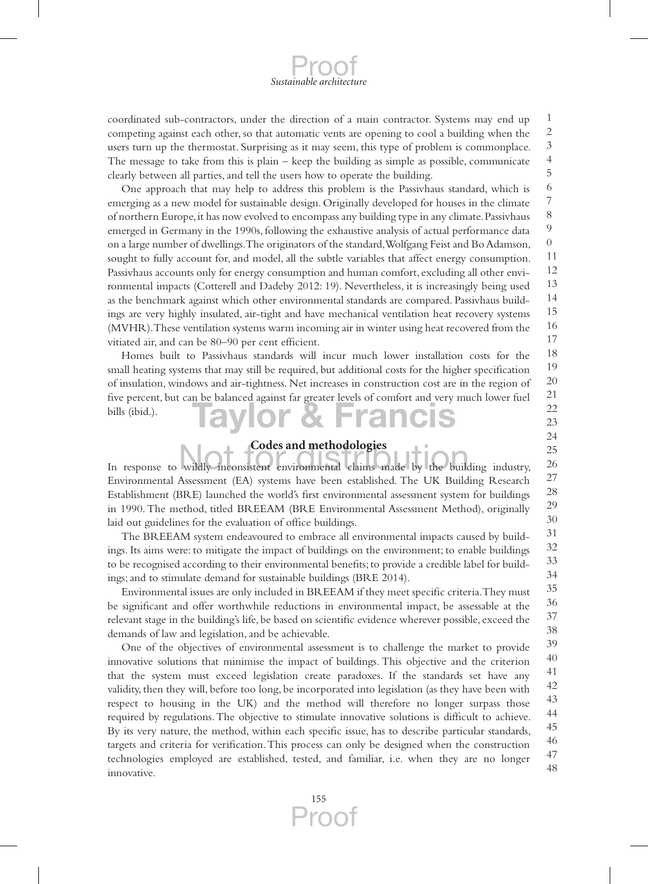

1 2 3 4 5 coordinated sub-contractors, under the direction of a main contractor. Systems may end up competing against each other, so that automatic vents are opening to cool a building when the users turn up the thermostat. Surprising as it may seem, this type of problem is commonplace. The message to take from this is plain – keep the building as simple as possible, communicate clearly between all parties, and tell the users how to operate the building.

6 7 8 9 0 11 12 13 14 15 16 17 One approach that may help to address this problem is the Passivhaus standard, which is emerging as a new model for sustainable design. Originally developed for houses in the climate of northern Europe, it has now evolved to encompass any building type in any climate. Passivhaus emerged in Germany in the 1990s, following the exhaustive analysis of actual performance data on a large number of dwellings. The originators of the standard, Wolfgang Feist and Bo Adamson, sought to fully account for, and model, all the subtle variables that affect energy consumption. Passivhaus accounts only for energy consumption and human comfort, excluding all other environmental impacts (Cotterell and Dadeby 2012: 19). Nevertheless, it is increasingly being used as the benchmark against which other environmental standards are compared. Passivhaus buildings are very highly insulated, air-tight and have mechanical ventilation heat recovery systems (MVHR). These ventilation systems warm incoming air in winter using heat recovered from the vitiated air, and can be 80–90 per cent efficient.

18 19 20 21 22 23 Homes built to Passivhaus standards will incur much lower installation costs for the small heating systems that may still be required, but additional costs for the higher specification of insulation, windows and air-tightness. Net increases in construction cost are in the region of five percent, but can be balanced against far greater levels of comfort and very much lower fuel bills (ibid.). **Taylor & Francis**

24 25

#### **Codes and methodologies**

26 27 28 29 30 31 Codes and methodologies<br>In response to wildly inconsistent environmental claims made by the building industry, Environmental Assessment (EA) systems have been established. The UK Building Research Establishment (BRE) launched the world's first environmental assessment system for buildings in 1990. The method, titled BREEAM (BRE Environmental Assessment Method), originally laid out guidelines for the evaluation of office buildings.

The BREEAM system endeavoured to embrace all environmental impacts caused by buildings. Its aims were: to mitigate the impact of buildings on the environment; to enable buildings to be recognised according to their environmental benefits; to provide a credible label for buildings; and to stimulate demand for sustainable buildings (BRE 2014).

Environmental issues are only included in BREEAM if they meet specific criteria. They must be significant and offer worthwhile reductions in environmental impact, be assessable at the relevant stage in the building's life, be based on scientific evidence wherever possible, exceed the demands of law and legislation, and be achievable.

39 40 41 42 43 44 45 46 47 48 One of the objectives of environmental assessment is to challenge the market to provide innovative solutions that minimise the impact of buildings. This objective and the criterion that the system must exceed legislation create paradoxes. If the standards set have any validity, then they will, before too long, be incorporated into legislation (as they have been with respect to housing in the UK) and the method will therefore no longer surpass those required by regulations. The objective to stimulate innovative solutions is difficult to achieve. By its very nature, the method, within each specific issue, has to describe particular standards, targets and criteria for verification. This process can only be designed when the construction technologies employed are established, tested, and familiar, i.e. when they are no longer innovative.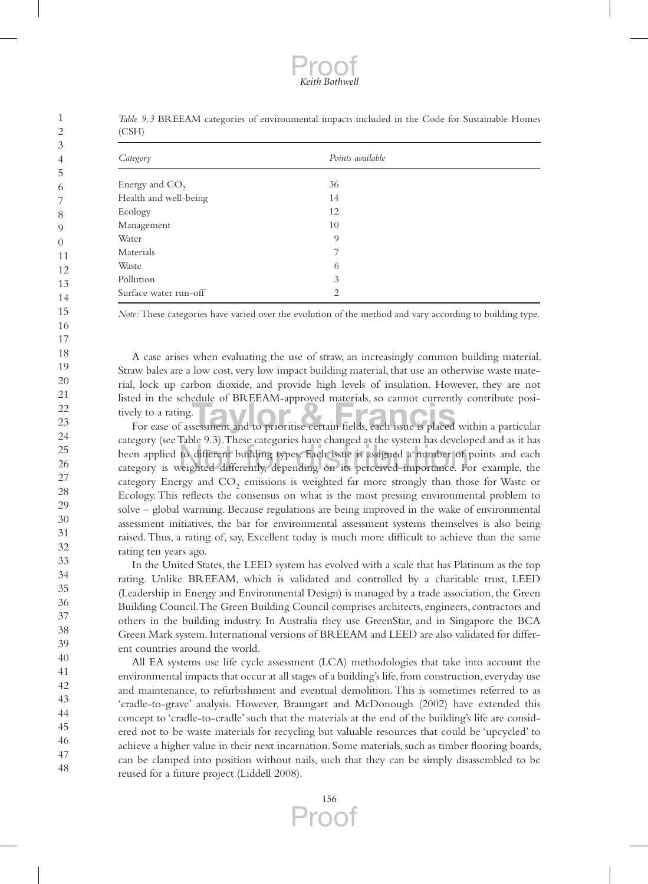*Table 9.3* BREEAM categories of environmental impacts included in the Code for Sustainable Homes (CSH)

| Category                   | Points available |
|----------------------------|------------------|
| Energy and CO <sub>2</sub> | 36               |
| Health and well-being      | 14               |
| Ecology                    | 12               |
| Management                 | 10               |
| Water                      | 9                |
| Materials                  | 7                |
| Waste                      | 6                |
| Pollution                  | 3                |
| Surface water run-off      | $\overline{c}$   |

*Note:* These categories have varied over the evolution of the method and vary according to building type.

A case arises when evaluating the use of straw, an increasingly common building material. Straw bales are a low cost, very low impact building material, that use an otherwise waste material, lock up carbon dioxide, and provide high levels of insulation. However, they are not listed in the schedule of BREEAM-approved materials, so cannot currently contribute positively to a rating. For ease of assessment and to prioritise certain fields, each issue is placed within a particular

category (see Table 9.3). These categories have changed as the system has developed and as it has been applied to different building types. Each issue is assigned a number of points and each category is weighted differently, depending on its perceived importance. For example, the category Energy and  $\mathrm{CO}_2$  emissions is weighted far more strongly than those for Waste or Ecology. This reflects the consensus on what is the most pressing environmental problem to solve – global warming. Because regulations are being improved in the wake of environmental assessment initiatives, the bar for environmental assessment systems themselves is also being raised. Thus, a rating of, say, Excellent today is much more difficult to achieve than the same rating ten years ago. Table 9.3). These categories have changed as the system has develo<br>to different building types. Each issue is assigned a number of<br>veighted differently depending on its perceived importance. For

In the United States, the LEED system has evolved with a scale that has Platinum as the top rating. Unlike BREEAM, which is validated and controlled by a charitable trust, LEED (Leadership in Energy and Environmental Design) is managed by a trade association, the Green Building Council. The Green Building Council comprises architects, engineers, contractors and others in the building industry. In Australia they use GreenStar, and in Singapore the BCA Green Mark system. International versions of BREEAM and LEED are also validated for different countries around the world.

40 41 42 43 44 45 46 47 48 All EA systems use life cycle assessment (LCA) methodologies that take into account the environmental impacts that occur at all stages of a building's life, from construction, everyday use and maintenance, to refurbishment and eventual demolition. This is sometimes referred to as 'cradle-to-grave' analysis. However, Braungart and McDonough (2002) have extended this concept to 'cradle-to-cradle' such that the materials at the end of the building's life are considered not to be waste materials for recycling but valuable resources that could be 'upcycled' to achieve a higher value in their next incarnation. Some materials, such as timber flooring boards, can be clamped into position without nails, such that they can be simply disassembled to be reused for a future project (Liddell 2008).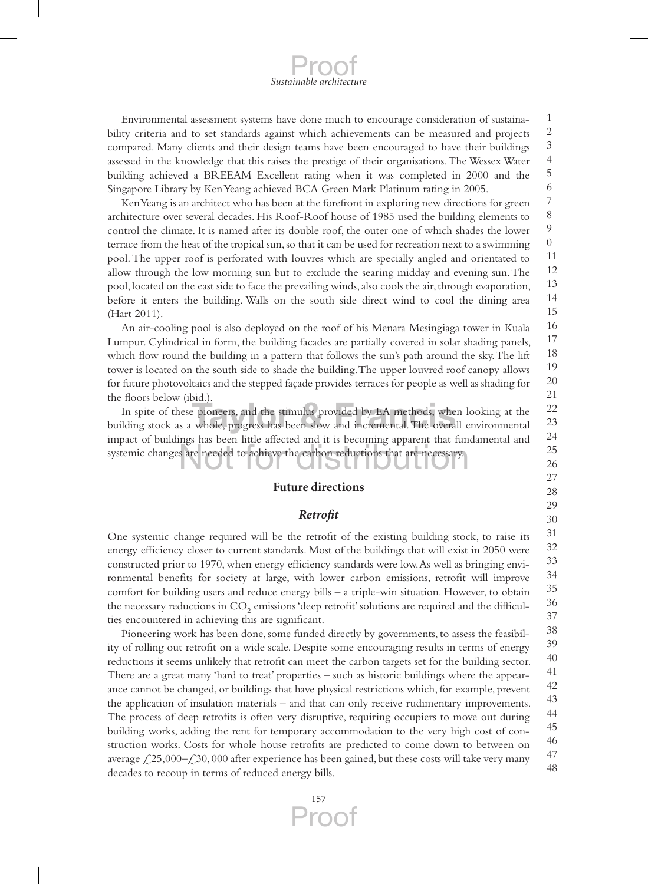1 2 3 4 5 6 Environmental assessment systems have done much to encourage consideration of sustainability criteria and to set standards against which achievements can be measured and projects compared. Many clients and their design teams have been encouraged to have their buildings assessed in the knowledge that this raises the prestige of their organisations. The Wessex Water building achieved a BREEAM Excellent rating when it was completed in 2000 and the Singapore Library by Ken Yeang achieved BCA Green Mark Platinum rating in 2005.

7 8 9 0 11 12 13 14 15 Ken Yeang is an architect who has been at the forefront in exploring new directions for green architecture over several decades. His Roof-Roof house of 1985 used the building elements to control the climate. It is named after its double roof, the outer one of which shades the lower terrace from the heat of the tropical sun, so that it can be used for recreation next to a swimming pool. The upper roof is perforated with louvres which are specially angled and orientated to allow through the low morning sun but to exclude the searing midday and evening sun. The pool, located on the east side to face the prevailing winds, also cools the air, through evaporation, before it enters the building. Walls on the south side direct wind to cool the dining area (Hart 2011).

16 17 18 19 20 21 22 An air-cooling pool is also deployed on the roof of his Menara Mesingiaga tower in Kuala Lumpur. Cylindrical in form, the building facades are partially covered in solar shading panels, which flow round the building in a pattern that follows the sun's path around the sky. The lift tower is located on the south side to shade the building. The upper louvred roof canopy allows for future photovoltaics and the stepped façade provides terraces for people as well as shading for the floors below (ibid.).

In spite of these pioneers, and the stimulus provided by EA methods, when looking at the Iding stock as a whole, progress has been slow and incremental. The overall environmental building stock as a whole, progress has been slow and incremental. The overall environmental impact of buildings has been little affected and it is becoming apparent that fundamental and systemic changes are needed to achieve the carbon reductions that are necessary. ings has been little affected and it is becoming apparent that fun<br>s are needed to achieve the carbon reductions that are necessary.

#### **Future directions**

#### *Retrofit*

One systemic change required will be the retrofit of the existing building stock, to raise its energy efficiency closer to current standards. Most of the buildings that will exist in 2050 were constructed prior to 1970, when energy efficiency standards were low. As well as bringing environmental benefits for society at large, with lower carbon emissions, retrofit will improve comfort for building users and reduce energy bills – a triple-win situation. However, to obtain the necessary reductions in  $\mathrm{CO}_2$  emissions 'deep retrofit' solutions are required and the difficulties encountered in achieving this are significant.

38 39 40 41 42 43 44 45 46 47 48 Pioneering work has been done, some funded directly by governments, to assess the feasibility of rolling out retrofit on a wide scale. Despite some encouraging results in terms of energy reductions it seems unlikely that retrofit can meet the carbon targets set for the building sector. There are a great many 'hard to treat' properties – such as historic buildings where the appearance cannot be changed, or buildings that have physical restrictions which, for example, prevent the application of insulation materials – and that can only receive rudimentary improvements. The process of deep retrofits is often very disruptive, requiring occupiers to move out during building works, adding the rent for temporary accommodation to the very high cost of construction works. Costs for whole house retrofits are predicted to come down to between on average  $\angle 25,000-\angle 30,000$  after experience has been gained, but these costs will take very many decades to recoup in terms of reduced energy bills.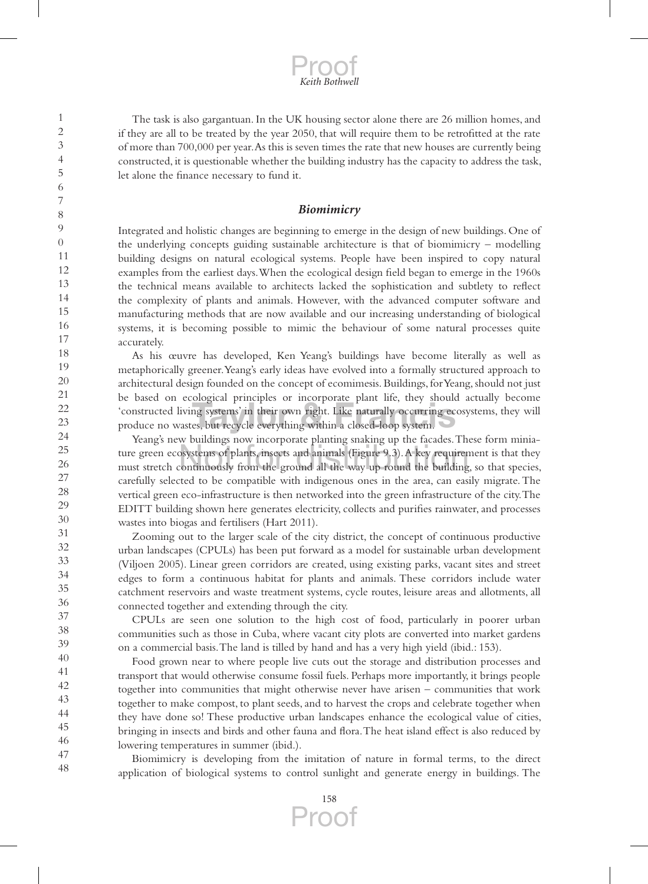The task is also gargantuan. In the UK housing sector alone there are 26 million homes, and if they are all to be treated by the year 2050, that will require them to be retrofitted at the rate of more than 700,000 per year. As this is seven times the rate that new houses are currently being constructed, it is questionable whether the building industry has the capacity to address the task, let alone the finance necessary to fund it.

#### *Biomimicry*

Integrated and holistic changes are beginning to emerge in the design of new buildings. One of the underlying concepts guiding sustainable architecture is that of biomimicry – modelling building designs on natural ecological systems. People have been inspired to copy natural examples from the earliest days. When the ecological design field began to emerge in the 1960s the technical means available to architects lacked the sophistication and subtlety to reflect the complexity of plants and animals. However, with the advanced computer software and manufacturing methods that are now available and our increasing understanding of biological systems, it is becoming possible to mimic the behaviour of some natural processes quite accurately.

As his œuvre has developed, Ken Yeang's buildings have become literally as well as metaphorically greener. Yeang's early ideas have evolved into a formally structured approach to architectural design founded on the concept of ecomimesis. Buildings, for Yeang, should not just be based on ecological principles or incorporate plant life, they should actually become 'constructed living systems' in their own right. Like naturally occurring ecosystems, they will Francisco of the experiment of the produce plant and the methods of constructed living systems' in their own right. Like naturally occurring exproduce no wastes, but recycle everything within a closed-loop system.

Yeang's new buildings now incorporate planting snaking up the facades. These form miniature green ecosystems of plants, insects and animals (Figure 9.3). A key requirement is that they must stretch continuously from the ground all the way up round the building, so that species, carefully selected to be compatible with indigenous ones in the area, can easily migrate. The vertical green eco-infrastructure is then networked into the green infrastructure of the city. The EDITT building shown here generates electricity, collects and purifies rainwater, and processes wastes into biogas and fertilisers (Hart 2011). w buildings now incorporate planting snaking up the facades. Th<br>osystems of plants, insects and animals (Figure 9.3). A key requirer<br>continuously from the ground all the way up round the building

Zooming out to the larger scale of the city district, the concept of continuous productive urban landscapes (CPULs) has been put forward as a model for sustainable urban development (Viljoen 2005). Linear green corridors are created, using existing parks, vacant sites and street edges to form a continuous habitat for plants and animals. These corridors include water catchment reservoirs and waste treatment systems, cycle routes, leisure areas and allotments, all connected together and extending through the city.

CPULs are seen one solution to the high cost of food, particularly in poorer urban communities such as those in Cuba, where vacant city plots are converted into market gardens on a commercial basis. The land is tilled by hand and has a very high yield (ibid.: 153).

Food grown near to where people live cuts out the storage and distribution processes and transport that would otherwise consume fossil fuels. Perhaps more importantly, it brings people together into communities that might otherwise never have arisen – communities that work together to make compost, to plant seeds, and to harvest the crops and celebrate together when they have done so! These productive urban landscapes enhance the ecological value of cities, bringing in insects and birds and other fauna and flora. The heat island effect is also reduced by lowering temperatures in summer (ibid.).

Biomimicry is developing from the imitation of nature in formal terms, to the direct application of biological systems to control sunlight and generate energy in buildings. The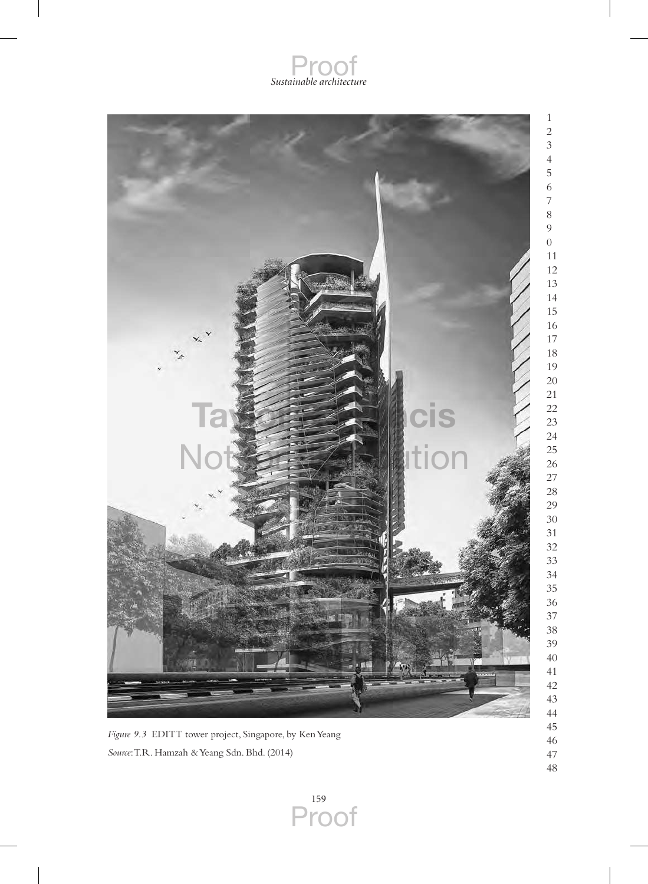



*Figure 9.3* EDITT tower project, Singapore, by Ken Yeang *Source*: T.R. Hamzah & Yeang Sdn. Bhd. (2014)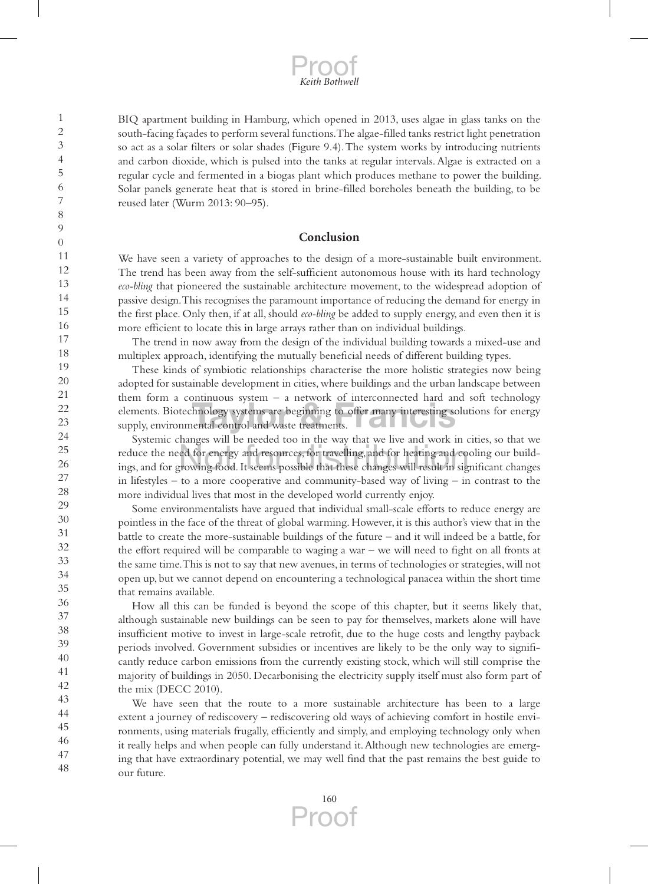BIQ apartment building in Hamburg, which opened in 2013, uses algae in glass tanks on the south-facing façades to perform several functions. The algae-filled tanks restrict light penetration so act as a solar filters or solar shades (Figure 9.4). The system works by introducing nutrients and carbon dioxide, which is pulsed into the tanks at regular intervals. Algae is extracted on a regular cycle and fermented in a biogas plant which produces methane to power the building. Solar panels generate heat that is stored in brine-filled boreholes beneath the building, to be reused later (Wurm 2013: 90–95).

#### **Conclusion**

We have seen a variety of approaches to the design of a more-sustainable built environment. The trend has been away from the self-sufficient autonomous house with its hard technology *eco-bling* that pioneered the sustainable architecture movement, to the widespread adoption of passive design. This recognises the paramount importance of reducing the demand for energy in the first place. Only then, if at all, should *eco-bling* be added to supply energy, and even then it is more efficient to locate this in large arrays rather than on individual buildings.

The trend in now away from the design of the individual building towards a mixed-use and multiplex approach, identifying the mutually beneficial needs of different building types.

These kinds of symbiotic relationships characterise the more holistic strategies now being adopted for sustainable development in cities, where buildings and the urban landscape between them form a continuous system – a network of interconnected hard and soft technology elements. Biotechnology systems are beginning to offer many interesting solutions for energy supply, environmental control and waste treatments. supply, environmental control and waste treatments.

Systemic changes will be needed too in the way that we live and work in cities, so that we reduce the need for energy and resources, for travelling, and for heating and cooling our buildings, and for growing food. It seems possible that these changes will result in significant changes in lifestyles – to a more cooperative and community-based way of living – in contrast to the more individual lives that most in the developed world currently enjoy. hanges will be needed too in the way that we live and work in ‹<br>ed for energy and resources, for travelling, and for heating and co<br>rrowing food. It seems possible that these changes will result in sig

Some environmentalists have argued that individual small-scale efforts to reduce energy are pointless in the face of the threat of global warming. However, it is this author's view that in the battle to create the more-sustainable buildings of the future – and it will indeed be a battle, for the effort required will be comparable to waging a war – we will need to fight on all fronts at the same time. This is not to say that new avenues, in terms of technologies or strategies, will not open up, but we cannot depend on encountering a technological panacea within the short time that remains available.

How all this can be funded is beyond the scope of this chapter, but it seems likely that, although sustainable new buildings can be seen to pay for themselves, markets alone will have insufficient motive to invest in large-scale retrofit, due to the huge costs and lengthy payback periods involved. Government subsidies or incentives are likely to be the only way to significantly reduce carbon emissions from the currently existing stock, which will still comprise the majority of buildings in 2050. Decarbonising the electricity supply itself must also form part of the mix (DECC 2010).

43 44 45 46 47 48 We have seen that the route to a more sustainable architecture has been to a large extent a journey of rediscovery – rediscovering old ways of achieving comfort in hostile environments, using materials frugally, efficiently and simply, and employing technology only when it really helps and when people can fully understand it. Although new technologies are emerging that have extraordinary potential, we may well find that the past remains the best guide to our future.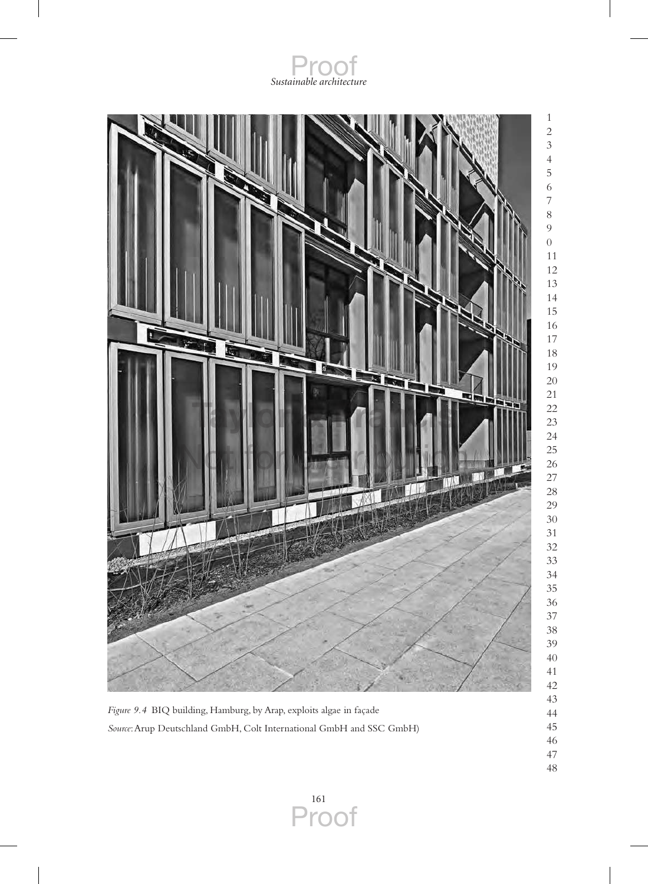



*Figure 9.4* BIQ building, Hamburg, by Arap, exploits algae in façade *Source*: Arup Deutschland GmbH, Colt International GmbH and SSC GmbH)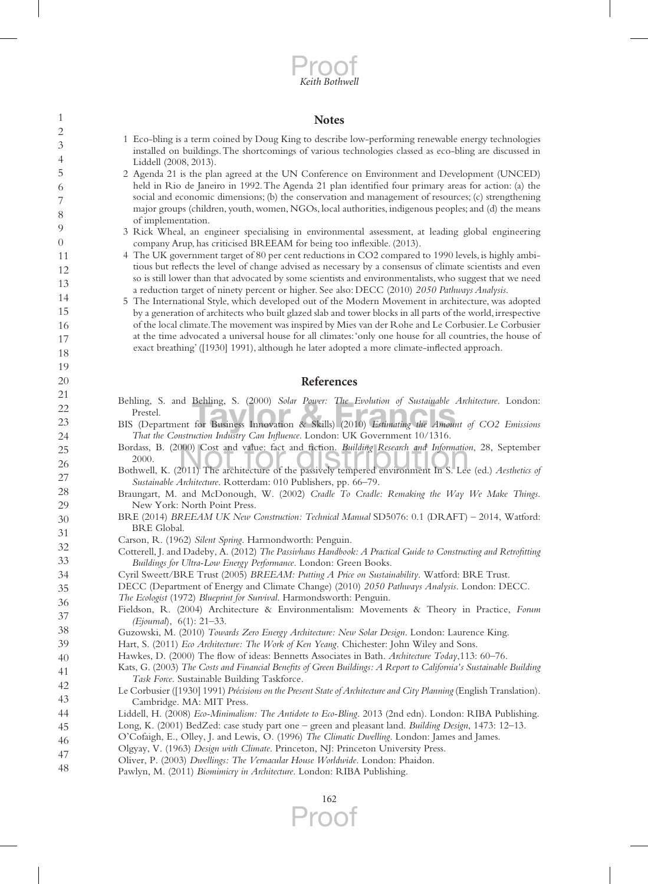#### **Notes**

| $\mathbf{1}$   | <b>Notes</b>                                                                                                                                                                                                |
|----------------|-------------------------------------------------------------------------------------------------------------------------------------------------------------------------------------------------------------|
| $\overline{c}$ | 1 Eco-bling is a term coined by Doug King to describe low-performing renewable energy technologies                                                                                                          |
| 3              | installed on buildings. The shortcomings of various technologies classed as eco-bling are discussed in                                                                                                      |
| 4              | Liddell (2008, 2013).                                                                                                                                                                                       |
| 5              | 2 Agenda 21 is the plan agreed at the UN Conference on Environment and Development (UNCED)                                                                                                                  |
| 6              | held in Rio de Janeiro in 1992. The Agenda 21 plan identified four primary areas for action: (a) the                                                                                                        |
| 7              | social and economic dimensions; (b) the conservation and management of resources; (c) strengthening<br>major groups (children, youth, women, NGOs, local authorities, indigenous peoples; and (d) the means |
| 8              | of implementation.                                                                                                                                                                                          |
| 9              | 3 Rick Wheal, an engineer specialising in environmental assessment, at leading global engineering                                                                                                           |
| $\theta$       | company Arup, has criticised BREEAM for being too inflexible. (2013).                                                                                                                                       |
| 11             | 4 The UK government target of 80 per cent reductions in CO2 compared to 1990 levels, is highly ambi-                                                                                                        |
| 12             | tious but reflects the level of change advised as necessary by a consensus of climate scientists and even                                                                                                   |
| 13             | so is still lower than that advocated by some scientists and environmentalists, who suggest that we need<br>a reduction target of ninety percent or higher. See also: DECC (2010) 2050 Pathways Analysis.   |
| 14             | 5 The International Style, which developed out of the Modern Movement in architecture, was adopted                                                                                                          |
| 15             | by a generation of architects who built glazed slab and tower blocks in all parts of the world, irrespective                                                                                                |
| 16             | of the local climate. The movement was inspired by Mies van der Rohe and Le Corbusier. Le Corbusier                                                                                                         |
| 17             | at the time advocated a universal house for all climates: 'only one house for all countries, the house of                                                                                                   |
| 18             | exact breathing' ([1930] 1991), although he later adopted a more climate-inflected approach.                                                                                                                |
| 19             |                                                                                                                                                                                                             |
| 20             | References                                                                                                                                                                                                  |
| 21             | Behling, S. and Behling, S. (2000) Solar Power: The Evolution of Sustainable Architecture. London:                                                                                                          |
| 22             | Prestel.                                                                                                                                                                                                    |
| 23             | BIS (Department for Business Innovation & Skills) (2010) <i>Estimating the Amount of CO2 Emissions</i>                                                                                                      |
| 24             | That the Construction Industry Can Influence. London: UK Government 10/1316.                                                                                                                                |
| 25             | Bordass, B. (2000) Cost and value: fact and fiction. Building Research and Information, 28, September                                                                                                       |
| 26             | 2000.<br>Bothwell, K. (2011) The architecture of the passively tempered environment In S. Lee (ed.) Aesthetics of                                                                                           |
| 27             | Sustainable Architecture. Rotterdam: 010 Publishers, pp. 66–79.                                                                                                                                             |
| 28             | Braungart, M. and McDonough, W. (2002) Cradle To Cradle: Remaking the Way We Make Things.                                                                                                                   |
| 29             | New York: North Point Press.                                                                                                                                                                                |
| 30             | BRE (2014) BREEAM UK New Construction: Technical Manual SD5076: 0.1 (DRAFT) - 2014, Watford:                                                                                                                |
| 31             | BRE Global.<br>Carson, R. (1962) Silent Spring. Harmondworth: Penguin.                                                                                                                                      |
| 32             | Cotterell, J. and Dadeby, A. (2012) The Passivhaus Handbook: A Practical Guide to Constructing and Retrofitting                                                                                             |
| 33             | Buildings for Ultra-Low Energy Performance. London: Green Books.                                                                                                                                            |
| 34             | Cyril Sweett/BRE Trust (2005) BREEAM: Putting A Price on Sustainability. Watford: BRE Trust.                                                                                                                |
| 35             | DECC (Department of Energy and Climate Change) (2010) 2050 Pathways Analysis. London: DECC.                                                                                                                 |
| 36             | The Ecologist (1972) Blueprint for Survival. Harmondsworth: Penguin.                                                                                                                                        |
| 37             | Fieldson, R. (2004) Architecture & Environmentalism: Movements & Theory in Practice, Forum<br>(Ejournal), 6(1): 21-33.                                                                                      |
| 38             | Guzowski, M. (2010) Towards Zero Energy Architecture: New Solar Design. London: Laurence King.                                                                                                              |
| 39             | Hart, S. (2011) Eco Architecture: The Work of Ken Yeang. Chichester: John Wiley and Sons.                                                                                                                   |
| 40             | Hawkes, D. (2000) The flow of ideas: Bennetts Associates in Bath. Architecture Today, 113: 60–76.                                                                                                           |
| 41             | Kats, G. (2003) The Costs and Financial Benefits of Green Buildings: A Report to California's Sustainable Building                                                                                          |
| 42             | Task Force. Sustainable Building Taskforce.<br>Le Corbusier ([1930] 1991) Précisions on the Present State of Architecture and City Planning (English Translation).                                          |
| 43             | Cambridge. MA: MIT Press.                                                                                                                                                                                   |
| 44             | Liddell, H. (2008) Eco-Minimalism: The Antidote to Eco-Bling. 2013 (2nd edn). London: RIBA Publishing.                                                                                                      |
| 45             | Long, K. (2001) BedZed: case study part one - green and pleasant land. Building Design, 1473: 12-13.                                                                                                        |
| 46             | O'Cofaigh, E., Olley, J. and Lewis, O. (1996) The Climatic Dwelling. London: James and James.                                                                                                               |
| 47             | Olgyay, V. (1963) Design with Climate. Princeton, NJ: Princeton University Press.<br>Oliver, P. (2003) Dwellings: The Vernacular House Worldwide. London: Phaidon.                                          |
| 48             | Pawlyn, M. (2011) Biomimicry in Architecture. London: RIBA Publishing.                                                                                                                                      |

162 Proof

Í